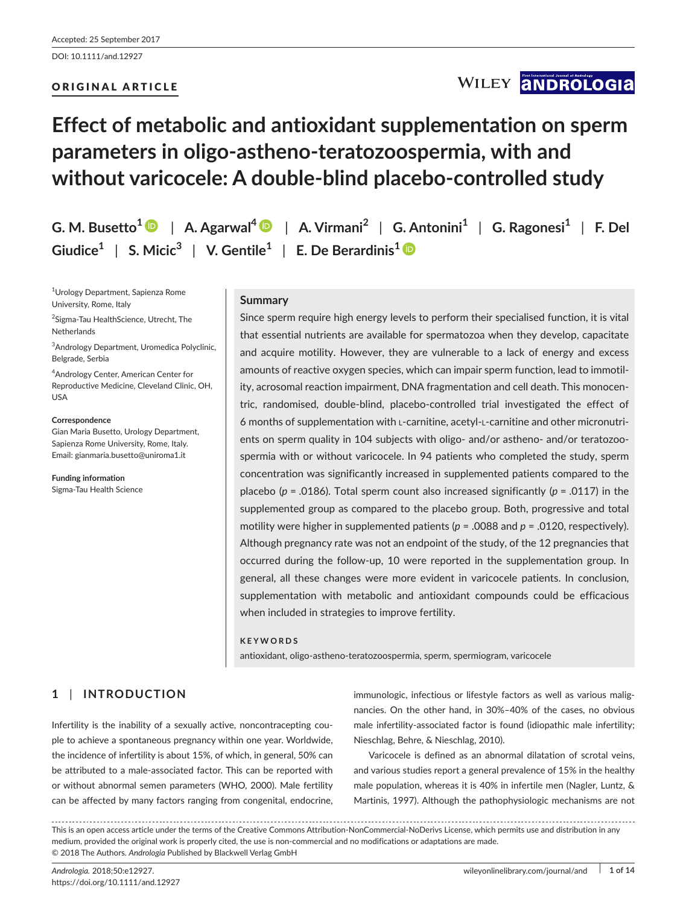DOI: 10.1111/and.12927

## ORIGINAL ARTICLE

## WILEY **ANDROLOGIA**

## **Effect of metabolic and antioxidant supplementation on sperm parameters in oligo-astheno-teratozoospermia, with and without varicocele: A double-blind placebo-controlled study**

|                                                                                                        | G. M. Busetto <sup>1</sup> $\bullet$   A. Agarwal <sup>4</sup> $\bullet$   A. Virmani <sup>2</sup>   G. Antonini <sup>1</sup>   G. Ragonesi <sup>1</sup>   F. Del |  |
|--------------------------------------------------------------------------------------------------------|-------------------------------------------------------------------------------------------------------------------------------------------------------------------|--|
| Giudice <sup>1</sup>   S. Micic <sup>3</sup>   V. Gentile <sup>1</sup>   E. De Berardinis <sup>1</sup> |                                                                                                                                                                   |  |

1 Urology Department, Sapienza Rome University, Rome, Italy

2 Sigma-Tau HealthScience, Utrecht, The Netherlands

3 Andrology Department, Uromedica Polyclinic, Belgrade, Serbia

4 Andrology Center, American Center for Reproductive Medicine, Cleveland Clinic, OH, USA

**Correspondence** Gian Maria Busetto, Urology Department, Sapienza Rome University, Rome, Italy. Email: [gianmaria.busetto@uniroma1.it](mailto:gianmaria.busetto@uniroma1.it)

**Funding information** Sigma-Tau Health Science

## **Summary**

Since sperm require high energy levels to perform their specialised function, it is vital that essential nutrients are available for spermatozoa when they develop, capacitate and acquire motility. However, they are vulnerable to a lack of energy and excess amounts of reactive oxygen species, which can impair sperm function, lead to immotility, acrosomal reaction impairment, DNA fragmentation and cell death. This monocentric, randomised, double-blind, placebo-controlled trial investigated the effect of 6 months of supplementation with l-carnitine, acetyl-l-carnitine and other micronutrients on sperm quality in 104 subjects with oligo- and/or astheno- and/or teratozoospermia with or without varicocele. In 94 patients who completed the study, sperm concentration was significantly increased in supplemented patients compared to the placebo (*p* = .0186). Total sperm count also increased significantly (*p* = .0117) in the supplemented group as compared to the placebo group. Both, progressive and total motility were higher in supplemented patients (*p* = .0088 and *p* = .0120, respectively). Although pregnancy rate was not an endpoint of the study, of the 12 pregnancies that occurred during the follow-up, 10 were reported in the supplementation group. In general, all these changes were more evident in varicocele patients. In conclusion, supplementation with metabolic and antioxidant compounds could be efficacious when included in strategies to improve fertility.

### **KEYWORDS**

antioxidant, oligo-astheno-teratozoospermia, sperm, spermiogram, varicocele

## **1** | **INTRODUCTION**

Infertility is the inability of a sexually active, noncontracepting couple to achieve a spontaneous pregnancy within one year. Worldwide, the incidence of infertility is about 15%, of which, in general, 50% can be attributed to a male-associated factor. This can be reported with or without abnormal semen parameters (WHO, 2000). Male fertility can be affected by many factors ranging from congenital, endocrine, immunologic, infectious or lifestyle factors as well as various malignancies. On the other hand, in 30%–40% of the cases, no obvious male infertility-associated factor is found (idiopathic male infertility; Nieschlag, Behre, & Nieschlag, 2010).

Varicocele is defined as an abnormal dilatation of scrotal veins, and various studies report a general prevalence of 15% in the healthy male population, whereas it is 40% in infertile men (Nagler, Luntz, & Martinis, 1997). Although the pathophysiologic mechanisms are not

This is an open access article under the terms of the [Creative Commons Attribution-NonCommercial-NoDerivs](http://creativecommons.org/licenses/by-nc-nd/4.0/) License, which permits use and distribution in any medium, provided the original work is properly cited, the use is non-commercial and no modifications or adaptations are made. © 2018 The Authors. *Andrologia* Published by Blackwell Verlag GmbH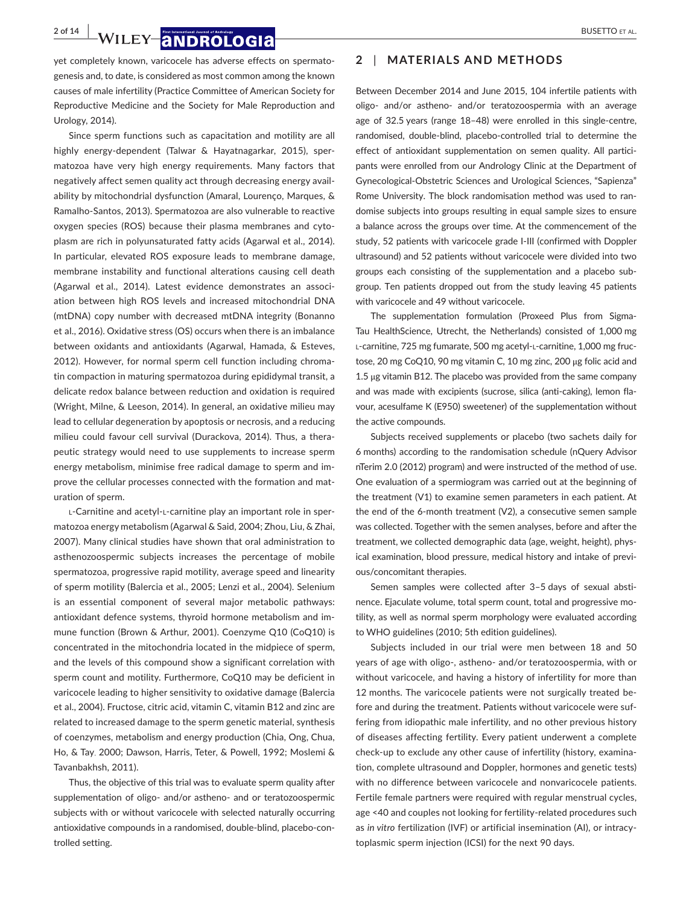**2 of 14 WILEY 2 NDROLOGIA** BUSETTO ET AL.

yet completely known, varicocele has adverse effects on spermatogenesis and, to date, is considered as most common among the known causes of male infertility (Practice Committee of American Society for Reproductive Medicine and the Society for Male Reproduction and Urology, 2014).

Since sperm functions such as capacitation and motility are all highly energy-dependent (Talwar & Hayatnagarkar, 2015), spermatozoa have very high energy requirements. Many factors that negatively affect semen quality act through decreasing energy availability by mitochondrial dysfunction (Amaral, Lourenço, Marques, & Ramalho-Santos, 2013). Spermatozoa are also vulnerable to reactive oxygen species (ROS) because their plasma membranes and cytoplasm are rich in polyunsaturated fatty acids (Agarwal et al., 2014). In particular, elevated ROS exposure leads to membrane damage, membrane instability and functional alterations causing cell death (Agarwal et al., 2014). Latest evidence demonstrates an association between high ROS levels and increased mitochondrial DNA (mtDNA) copy number with decreased mtDNA integrity (Bonanno et al., 2016). Oxidative stress (OS) occurs when there is an imbalance between oxidants and antioxidants (Agarwal, Hamada, & Esteves, 2012). However, for normal sperm cell function including chromatin compaction in maturing spermatozoa during epididymal transit, a delicate redox balance between reduction and oxidation is required (Wright, Milne, & Leeson, 2014). In general, an oxidative milieu may lead to cellular degeneration by apoptosis or necrosis, and a reducing milieu could favour cell survival (Durackova, 2014). Thus, a therapeutic strategy would need to use supplements to increase sperm energy metabolism, minimise free radical damage to sperm and improve the cellular processes connected with the formation and maturation of sperm.

L-Carnitine and acetyl-L-carnitine play an important role in spermatozoa energy metabolism (Agarwal & Said, 2004; Zhou, Liu, & Zhai, 2007). Many clinical studies have shown that oral administration to asthenozoospermic subjects increases the percentage of mobile spermatozoa, progressive rapid motility, average speed and linearity of sperm motility (Balercia et al., 2005; Lenzi et al., 2004). Selenium is an essential component of several major metabolic pathways: antioxidant defence systems, thyroid hormone metabolism and immune function (Brown & Arthur, 2001). Coenzyme Q10 (CoQ10) is concentrated in the mitochondria located in the midpiece of sperm, and the levels of this compound show a significant correlation with sperm count and motility. Furthermore, CoQ10 may be deficient in varicocele leading to higher sensitivity to oxidative damage (Balercia et al., 2004). Fructose, citric acid, vitamin C, vitamin B12 and zinc are related to increased damage to the sperm genetic material, synthesis of coenzymes, metabolism and energy production (Chia, Ong, Chua, Ho, & Tay, 2000; Dawson, Harris, Teter, & Powell, 1992; Moslemi & Tavanbakhsh, 2011).

Thus, the objective of this trial was to evaluate sperm quality after supplementation of oligo- and/or astheno- and or teratozoospermic subjects with or without varicocele with selected naturally occurring antioxidative compounds in a randomised, double-blind, placebo-controlled setting.

### **2** | **MATERIALS AND METHODS**

Between December 2014 and June 2015, 104 infertile patients with oligo- and/or astheno- and/or teratozoospermia with an average age of 32.5 years (range 18–48) were enrolled in this single-centre, randomised, double-blind, placebo-controlled trial to determine the effect of antioxidant supplementation on semen quality. All participants were enrolled from our Andrology Clinic at the Department of Gynecological-Obstetric Sciences and Urological Sciences, "Sapienza" Rome University. The block randomisation method was used to randomise subjects into groups resulting in equal sample sizes to ensure a balance across the groups over time. At the commencement of the study, 52 patients with varicocele grade I-III (confirmed with Doppler ultrasound) and 52 patients without varicocele were divided into two groups each consisting of the supplementation and a placebo subgroup. Ten patients dropped out from the study leaving 45 patients with varicocele and 49 without varicocele.

The supplementation formulation (Proxeed Plus from Sigma-Tau HealthScience, Utrecht, the Netherlands) consisted of 1,000 mg L-carnitine, 725 mg fumarate, 500 mg acetyl-L-carnitine, 1,000 mg fructose, 20 mg CoQ10, 90 mg vitamin C, 10 mg zinc, 200 μg folic acid and 1.5 μg vitamin B12. The placebo was provided from the same company and was made with excipients (sucrose, silica (anti-caking), lemon flavour, acesulfame K (E950) sweetener) of the supplementation without the active compounds.

Subjects received supplements or placebo (two sachets daily for 6 months) according to the randomisation schedule (nQuery Advisor nTerim 2.0 (2012) program) and were instructed of the method of use. One evaluation of a spermiogram was carried out at the beginning of the treatment (V1) to examine semen parameters in each patient. At the end of the 6-month treatment (V2), a consecutive semen sample was collected. Together with the semen analyses, before and after the treatment, we collected demographic data (age, weight, height), physical examination, blood pressure, medical history and intake of previous/concomitant therapies.

Semen samples were collected after 3–5 days of sexual abstinence. Ejaculate volume, total sperm count, total and progressive motility, as well as normal sperm morphology were evaluated according to WHO guidelines (2010; 5th edition guidelines).

Subjects included in our trial were men between 18 and 50 years of age with oligo-, astheno- and/or teratozoospermia, with or without varicocele, and having a history of infertility for more than 12 months. The varicocele patients were not surgically treated before and during the treatment. Patients without varicocele were suffering from idiopathic male infertility, and no other previous history of diseases affecting fertility. Every patient underwent a complete check-up to exclude any other cause of infertility (history, examination, complete ultrasound and Doppler, hormones and genetic tests) with no difference between varicocele and nonvaricocele patients. Fertile female partners were required with regular menstrual cycles, age <40 and couples not looking for fertility-related procedures such as *in vitro* fertilization (IVF) or artificial insemination (AI), or intracytoplasmic sperm injection (ICSI) for the next 90 days.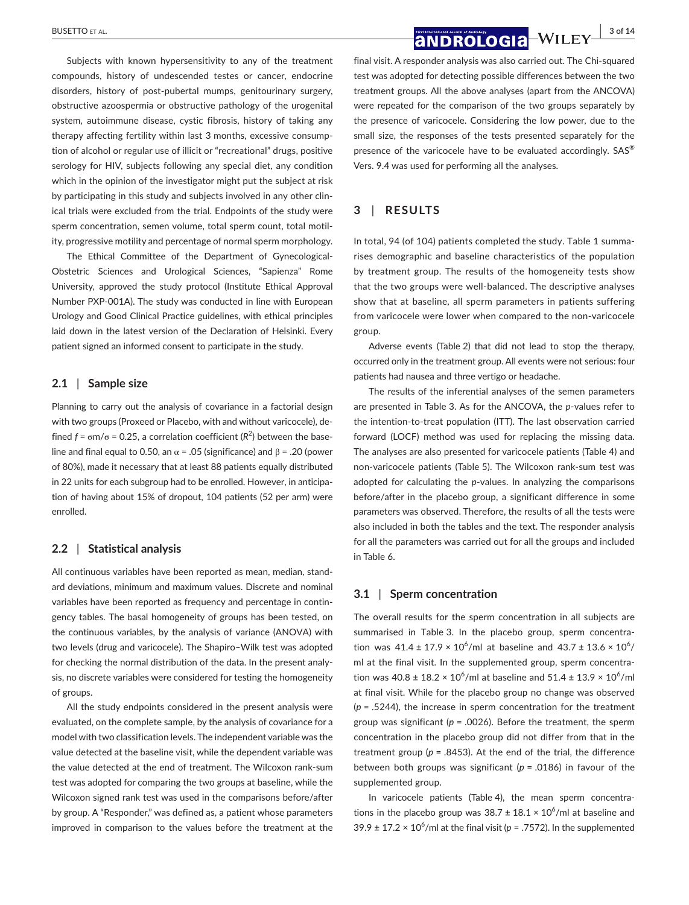Subjects with known hypersensitivity to any of the treatment compounds, history of undescended testes or cancer, endocrine disorders, history of post-pubertal mumps, genitourinary surgery, obstructive azoospermia or obstructive pathology of the urogenital system, autoimmune disease, cystic fibrosis, history of taking any therapy affecting fertility within last 3 months, excessive consumption of alcohol or regular use of illicit or "recreational" drugs, positive serology for HIV, subjects following any special diet, any condition which in the opinion of the investigator might put the subject at risk by participating in this study and subjects involved in any other clinical trials were excluded from the trial. Endpoints of the study were sperm concentration, semen volume, total sperm count, total motility, progressive motility and percentage of normal sperm morphology.

The Ethical Committee of the Department of Gynecological-Obstetric Sciences and Urological Sciences, "Sapienza" Rome University, approved the study protocol (Institute Ethical Approval Number PXP-001A). The study was conducted in line with European Urology and Good Clinical Practice guidelines, with ethical principles laid down in the latest version of the Declaration of Helsinki. Every patient signed an informed consent to participate in the study.

## **2.1** | **Sample size**

Planning to carry out the analysis of covariance in a factorial design with two groups (Proxeed or Placebo, with and without varicocele), defined  $f = \sigma m/\sigma = 0.25$ , a correlation coefficient ( $R^2$ ) between the baseline and final equal to 0.50, an  $\alpha$  = .05 (significance) and  $\beta$  = .20 (power of 80%), made it necessary that at least 88 patients equally distributed in 22 units for each subgroup had to be enrolled. However, in anticipation of having about 15% of dropout, 104 patients (52 per arm) were enrolled.

## **2.2** | **Statistical analysis**

All continuous variables have been reported as mean, median, standard deviations, minimum and maximum values. Discrete and nominal variables have been reported as frequency and percentage in contingency tables. The basal homogeneity of groups has been tested, on the continuous variables, by the analysis of variance (ANOVA) with two levels (drug and varicocele). The Shapiro–Wilk test was adopted for checking the normal distribution of the data. In the present analysis, no discrete variables were considered for testing the homogeneity of groups.

All the study endpoints considered in the present analysis were evaluated, on the complete sample, by the analysis of covariance for a model with two classification levels. The independent variable was the value detected at the baseline visit, while the dependent variable was the value detected at the end of treatment. The Wilcoxon rank-sum test was adopted for comparing the two groups at baseline, while the Wilcoxon signed rank test was used in the comparisons before/after by group. A "Responder," was defined as, a patient whose parameters improved in comparison to the values before the treatment at the

## **BUSETTO ET AL. 3 of 14**<br>**and Rologia** Willey 36114

final visit. A responder analysis was also carried out. The Chi-squared test was adopted for detecting possible differences between the two treatment groups. All the above analyses (apart from the ANCOVA) were repeated for the comparison of the two groups separately by the presence of varicocele. Considering the low power, due to the small size, the responses of the tests presented separately for the presence of the varicocele have to be evaluated accordingly. SAS<sup>®</sup> Vers. 9.4 was used for performing all the analyses.

## **3** | **RESULTS**

In total, 94 (of 104) patients completed the study. Table 1 summarises demographic and baseline characteristics of the population by treatment group. The results of the homogeneity tests show that the two groups were well-balanced. The descriptive analyses show that at baseline, all sperm parameters in patients suffering from varicocele were lower when compared to the non-varicocele group.

Adverse events (Table 2) that did not lead to stop the therapy, occurred only in the treatment group. All events were not serious: four patients had nausea and three vertigo or headache.

The results of the inferential analyses of the semen parameters are presented in Table 3. As for the ANCOVA, the *p*-values refer to the intention-to-treat population (ITT). The last observation carried forward (LOCF) method was used for replacing the missing data. The analyses are also presented for varicocele patients (Table 4) and non-varicocele patients (Table 5). The Wilcoxon rank-sum test was adopted for calculating the *p*-values. In analyzing the comparisons before/after in the placebo group, a significant difference in some parameters was observed. Therefore, the results of all the tests were also included in both the tables and the text. The responder analysis for all the parameters was carried out for all the groups and included in Table 6.

## **3.1** | **Sperm concentration**

The overall results for the sperm concentration in all subjects are summarised in Table 3. In the placebo group, sperm concentration was  $41.4 \pm 17.9 \times 10^6$ /ml at baseline and  $43.7 \pm 13.6 \times 10^6$ / ml at the final visit. In the supplemented group, sperm concentration was  $40.8 \pm 18.2 \times 10^6$ /ml at baseline and  $51.4 \pm 13.9 \times 10^6$ /ml at final visit. While for the placebo group no change was observed (*p* = .5244), the increase in sperm concentration for the treatment group was significant (*p* = .0026). Before the treatment, the sperm concentration in the placebo group did not differ from that in the treatment group ( $p = 0.8453$ ). At the end of the trial, the difference between both groups was significant (*p* = .0186) in favour of the supplemented group.

In varicocele patients (Table 4), the mean sperm concentrations in the placebo group was  $38.7 \pm 18.1 \times 10^{6}$ /ml at baseline and  $39.9 \pm 17.2 \times 10^6$ /ml at the final visit ( $p = .7572$ ). In the supplemented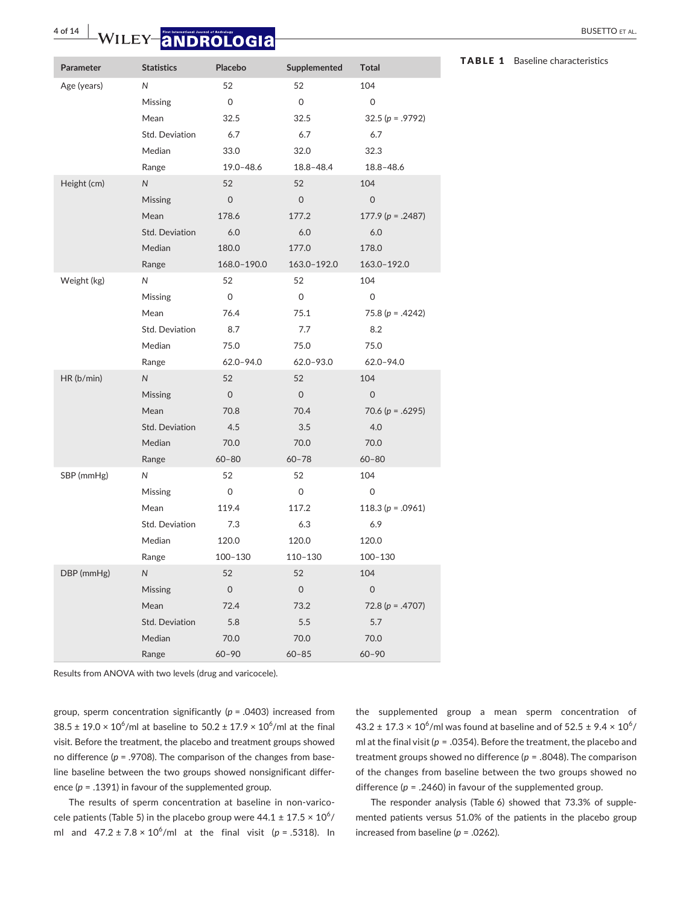| Parameter   | <b>Statistics</b>     | Placebo        | Supplemented   | <b>Total</b>          |
|-------------|-----------------------|----------------|----------------|-----------------------|
| Age (years) | N                     | 52             | 52             | 104                   |
|             | Missing               | 0              | 0              | 0                     |
|             | Mean                  | 32.5           | 32.5           | $32.5 (p = .9792)$    |
|             | Std. Deviation        | 6.7            | 6.7            | 6.7                   |
|             | Median                | 33.0           | 32.0           | 32.3                  |
|             | Range                 | $19.0 - 48.6$  | $18.8 - 48.4$  | $18.8 - 48.6$         |
| Height (cm) | $\overline{N}$        | 52             | 52             | 104                   |
|             | Missing               | $\overline{0}$ | $\Omega$       | $\Omega$              |
|             | Mean                  | 178.6          | 177.2          | $177.9(p = .2487)$    |
|             | <b>Std. Deviation</b> | 6.0            | 6.0            | 6.0                   |
|             | Median                | 180.0          | 177.0          | 178.0                 |
|             | Range                 | 168.0-190.0    | 163.0-192.0    | 163.0-192.0           |
| Weight (kg) | N                     | 52             | 52             | 104                   |
|             | Missing               | 0              | 0              | 0                     |
|             | Mean                  | 76.4           | 75.1           | 75.8 ( $p = .4242$ )  |
|             | Std. Deviation        | 8.7            | 7.7            | 8.2                   |
|             | Median                | 75.0           | 75.0           | 75.0                  |
|             | Range                 | $62.0 - 94.0$  | $62.0 - 93.0$  | $62.0 - 94.0$         |
| HR(b/min)   | $\overline{N}$        | 52             | 52             | 104                   |
|             | Missing               | $\overline{O}$ | $\overline{0}$ | $\Omega$              |
|             | Mean                  | 70.8           | 70.4           | 70.6 ( $p = .6295$ )  |
|             | Std. Deviation        | 4.5            | 3.5            | 4.0                   |
|             | Median                | 70.0           | 70.0           | 70.0                  |
|             | Range                 | $60 - 80$      | $60 - 78$      | $60 - 80$             |
| SBP (mmHg)  | N                     | 52             | 52             | 104                   |
|             | Missing               | 0              | $\mathbf 0$    | $\mathbf 0$           |
|             | Mean                  | 119.4          | 117.2          | 118.3 ( $p = .0961$ ) |
|             | Std. Deviation        | 7.3            | 6.3            | 6.9                   |
|             | Median                | 120.0          | 120.0          | 120.0                 |
|             | Range                 | $100 - 130$    | 110-130        | $100 - 130$           |
| DBP (mmHg)  | ${\sf N}$             | 52             | 52             | 104                   |
|             | Missing               | $\Omega$       | $\Omega$       | $\Omega$              |
|             | Mean                  | 72.4           | 73.2           | 72.8 ( $p = .4707$ )  |
|             | Std. Deviation        | 5.8            | 5.5            | 5.7                   |
|             | Median                | 70.0           | 70.0           | 70.0                  |
|             | Range                 | $60 - 90$      | $60 - 85$      | $60 - 90$             |

Results from ANOVA with two levels (drug and varicocele).

group, sperm concentration significantly (*p* = .0403) increased from 38.5 ± 19.0  $\times$  10<sup>6</sup>/ml at baseline to 50.2 ± 17.9  $\times$  10<sup>6</sup>/ml at the final visit. Before the treatment, the placebo and treatment groups showed no difference (*p* = .9708). The comparison of the changes from baseline baseline between the two groups showed nonsignificant difference (*p* = .1391) in favour of the supplemented group.

The results of sperm concentration at baseline in non-varicocele patients (Table 5) in the placebo group were  $44.1 \pm 17.5 \times 10^6/$ ml and  $47.2 \pm 7.8 \times 10^6$ /ml at the final visit ( $p = .5318$ ). In the supplemented group a mean sperm concentration of  $43.2 \pm 17.3 \times 10^6$ /ml was found at baseline and of  $52.5 \pm 9.4 \times 10^6$ / ml at the final visit (*p* = .0354). Before the treatment, the placebo and treatment groups showed no difference (*p* = .8048). The comparison of the changes from baseline between the two groups showed no difference (*p* = .2460) in favour of the supplemented group.

The responder analysis (Table 6) showed that 73.3% of supplemented patients versus 51.0% of the patients in the placebo group increased from baseline (*p* = .0262).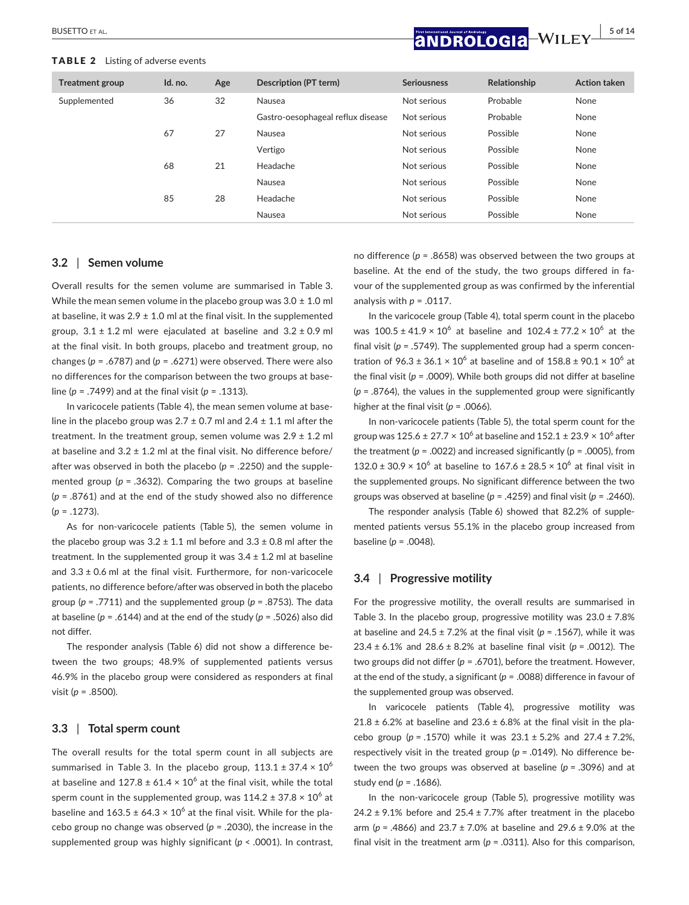### TABLE 2 Listing of adverse events

 **BUSETTO ET AL. 5 of 14**<br>**ANDROLOGIA** WILEY 5 of 14

| <b>Treatment group</b> | Id. no. | Age | Description (PT term)             | <b>Seriousness</b> | Relationship | <b>Action taken</b> |
|------------------------|---------|-----|-----------------------------------|--------------------|--------------|---------------------|
| Supplemented           | 36      | 32  | Nausea                            | Not serious        | Probable     | None                |
|                        |         |     | Gastro-oesophageal reflux disease | Not serious        | Probable     | None                |
|                        | 67      | 27  | Nausea                            | Not serious        | Possible     | None                |
|                        |         |     | Vertigo                           | Not serious        | Possible     | None                |
|                        | 68      | 21  | Headache                          | Not serious        | Possible     | None                |
|                        |         |     | Nausea                            | Not serious        | Possible     | None                |
|                        | 85      | 28  | Headache                          | Not serious        | Possible     | None                |
|                        |         |     | Nausea                            | Not serious        | Possible     | None                |

## **3.2** | **Semen volume**

Overall results for the semen volume are summarised in Table 3. While the mean semen volume in the placebo group was  $3.0 \pm 1.0$  ml at baseline, it was  $2.9 \pm 1.0$  ml at the final visit. In the supplemented group,  $3.1 \pm 1.2$  ml were ejaculated at baseline and  $3.2 \pm 0.9$  ml at the final visit. In both groups, placebo and treatment group, no changes (*p* = .6787) and (*p* = .6271) were observed. There were also no differences for the comparison between the two groups at baseline (*p* = .7499) and at the final visit (*p* = .1313).

In varicocele patients (Table 4), the mean semen volume at baseline in the placebo group was  $2.7 \pm 0.7$  ml and  $2.4 \pm 1.1$  ml after the treatment. In the treatment group, semen volume was  $2.9 \pm 1.2$  ml at baseline and  $3.2 \pm 1.2$  ml at the final visit. No difference before/ after was observed in both the placebo (*p* = .2250) and the supplemented group (p = .3632). Comparing the two groups at baseline (*p* = .8761) and at the end of the study showed also no difference (*p* = .1273).

As for non-varicocele patients (Table 5), the semen volume in the placebo group was  $3.2 \pm 1.1$  ml before and  $3.3 \pm 0.8$  ml after the treatment. In the supplemented group it was  $3.4 \pm 1.2$  ml at baseline and  $3.3 \pm 0.6$  ml at the final visit. Furthermore, for non-varicocele patients, no difference before/after was observed in both the placebo group ( $p = .7711$ ) and the supplemented group ( $p = .8753$ ). The data at baseline (*p* = .6144) and at the end of the study (*p* = .5026) also did not differ.

The responder analysis (Table 6) did not show a difference between the two groups; 48.9% of supplemented patients versus 46.9% in the placebo group were considered as responders at final visit (*p* = .8500).

### **3.3** | **Total sperm count**

The overall results for the total sperm count in all subjects are summarised in Table 3. In the placebo group,  $113.1 \pm 37.4 \times 10^6$ at baseline and 127.8  $\pm$  61.4  $\times$  10 $^6$  at the final visit, while the total sperm count in the supplemented group, was  $114.2 \pm 37.8 \times 10^6$  at baseline and  $163.5 \pm 64.3 \times 10^6$  at the final visit. While for the placebo group no change was observed (*p* = .2030), the increase in the supplemented group was highly significant (*p* < .0001). In contrast,

no difference (*p* = .8658) was observed between the two groups at baseline. At the end of the study, the two groups differed in favour of the supplemented group as was confirmed by the inferential analysis with *p* = .0117.

In the varicocele group (Table 4), total sperm count in the placebo was  $100.5 \pm 41.9 \times 10^6$  at baseline and  $102.4 \pm 77.2 \times 10^6$  at the final visit (*p* = .5749). The supplemented group had a sperm concentration of  $96.3 \pm 36.1 \times 10^6$  at baseline and of  $158.8 \pm 90.1 \times 10^6$  at the final visit ( $p = .0009$ ). While both groups did not differ at baseline  $(p = .8764)$ , the values in the supplemented group were significantly higher at the final visit (*p* = .0066).

In non-varicocele patients (Table 5), the total sperm count for the group was  $125.6 \pm 27.7 \times 10^6$  at baseline and  $152.1 \pm 23.9 \times 10^6$  after the treatment ( $p = .0022$ ) and increased significantly ( $p = .0005$ ), from 132.0 ± 30.9  $\times$  10<sup>6</sup> at baseline to 167.6 ± 28.5  $\times$  10<sup>6</sup> at final visit in the supplemented groups. No significant difference between the two groups was observed at baseline (*p* = .4259) and final visit (*p* = .2460).

The responder analysis (Table 6) showed that 82.2% of supplemented patients versus 55.1% in the placebo group increased from baseline (*p* = .0048).

## **3.4** | **Progressive motility**

For the progressive motility, the overall results are summarised in Table 3. In the placebo group, progressive motility was  $23.0 \pm 7.8\%$ at baseline and 24.5 ± 7.2% at the final visit (*p* = .1567), while it was 23.4 ± 6.1% and 28.6 ± 8.2% at baseline final visit (*p* = .0012). The two groups did not differ (*p* = .6701), before the treatment. However, at the end of the study, a significant (*p* = .0088) difference in favour of the supplemented group was observed.

In varicocele patients (Table 4), progressive motility was  $21.8 \pm 6.2\%$  at baseline and 23.6  $\pm$  6.8% at the final visit in the placebo group (*p* = .1570) while it was 23.1 ± 5.2% and 27.4 ± 7.2%, respectively visit in the treated group (*p* = .0149). No difference between the two groups was observed at baseline (*p* = .3096) and at study end (*p* = .1686).

In the non-varicocele group (Table 5), progressive motility was 24.2  $\pm$  9.1% before and 25.4  $\pm$  7.7% after treatment in the placebo arm (*p* = .4866) and 23.7 ± 7.0% at baseline and 29.6 ± 9.0% at the final visit in the treatment arm  $(p = .0311)$ . Also for this comparison,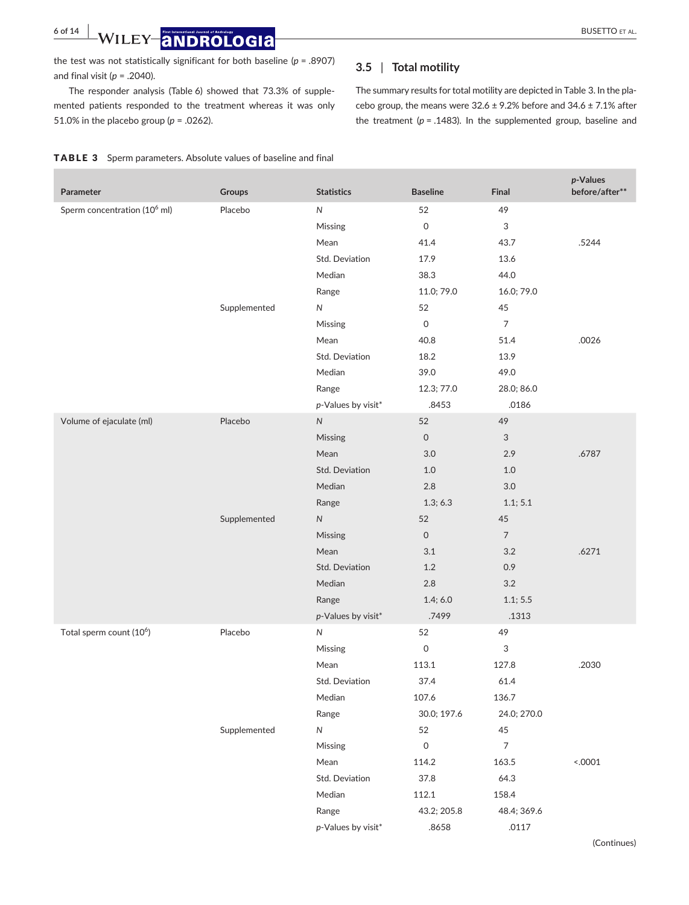**6 of 14 WILEY ANDROLOGIA** BUSETTO ET AL.

the test was not statistically significant for both baseline (*p* = .8907) and final visit (*p* = .2040).

The responder analysis (Table 6) showed that 73.3% of supplemented patients responded to the treatment whereas it was only 51.0% in the placebo group (*p* = .0262).

## **3.5** | **Total motility**

The summary results for total motility are depicted in Table 3. In the placebo group, the means were  $32.6 \pm 9.2\%$  before and  $34.6 \pm 7.1\%$  after the treatment ( $p = .1483$ ). In the supplemented group, baseline and

|  | <b>TABLE 3</b> Sperm parameters. Absolute values of baseline and final |  |  |
|--|------------------------------------------------------------------------|--|--|
|--|------------------------------------------------------------------------|--|--|

| Parameter                                | Groups       | <b>Statistics</b>  | <b>Baseline</b>     | Final                     | p-Values<br>before/after** |
|------------------------------------------|--------------|--------------------|---------------------|---------------------------|----------------------------|
| Sperm concentration (10 <sup>6</sup> ml) | Placebo      | ${\sf N}$          | 52                  | 49                        |                            |
|                                          |              | Missing            | $\mathsf O$         | $\ensuremath{\mathsf{3}}$ |                            |
|                                          |              | Mean               | 41.4                | 43.7                      | .5244                      |
|                                          |              | Std. Deviation     | 17.9                | 13.6                      |                            |
|                                          |              | Median             | 38.3                | 44.0                      |                            |
|                                          |              | Range              | 11.0; 79.0          | 16.0; 79.0                |                            |
|                                          | Supplemented | ${\sf N}$          | 52                  | 45                        |                            |
|                                          |              | Missing            | $\mathsf O$         | $\overline{7}$            |                            |
|                                          |              | Mean               | 40.8                | 51.4                      | .0026                      |
|                                          |              | Std. Deviation     | 18.2                | 13.9                      |                            |
|                                          |              | Median             | 39.0                | 49.0                      |                            |
|                                          |              | Range              | 12.3; 77.0          | 28.0; 86.0                |                            |
|                                          |              | p-Values by visit* | .8453               | .0186                     |                            |
| Volume of ejaculate (ml)                 | Placebo      | ${\sf N}$          | 52                  | 49                        |                            |
|                                          |              | Missing            | $\mathsf{O}$        | 3                         |                            |
|                                          |              | Mean               | 3.0                 | 2.9                       | .6787                      |
|                                          |              | Std. Deviation     | 1.0                 | 1.0                       |                            |
|                                          |              | Median             | $2.8\,$             | 3.0                       |                            |
|                                          |              | Range              | 1.3; 6.3            | 1.1; 5.1                  |                            |
|                                          | Supplemented | ${\sf N}$          | 52                  | $45\,$                    |                            |
|                                          |              | Missing            | $\mathsf{O}$        | $\overline{7}$            |                            |
|                                          |              | Mean               | 3.1                 | 3.2                       | .6271                      |
|                                          |              | Std. Deviation     | $1.2\,$             | 0.9                       |                            |
|                                          |              | Median             | $2.8\,$             | 3.2                       |                            |
|                                          |              | Range              | 1.4; 6.0            | 1.1; 5.5                  |                            |
|                                          |              | p-Values by visit* | .7499               | .1313                     |                            |
| Total sperm count (10 <sup>6</sup> )     | Placebo      | ${\sf N}$          | 52                  | 49                        |                            |
|                                          |              | Missing            | $\mathsf{O}\xspace$ | 3                         |                            |
|                                          |              | Mean               | 113.1               | 127.8                     | .2030                      |
|                                          |              | Std. Deviation     | 37.4                | 61.4                      |                            |
|                                          |              | Median             | 107.6               | 136.7                     |                            |
|                                          |              | Range              | 30.0; 197.6         | 24.0; 270.0               |                            |
|                                          | Supplemented | ${\sf N}$          | 52                  | 45                        |                            |
|                                          |              | Missing            | $\mathsf{O}\xspace$ | $\overline{7}$            |                            |
|                                          |              | Mean               | 114.2               | 163.5                     | < .0001                    |
|                                          |              | Std. Deviation     | 37.8                | 64.3                      |                            |
|                                          |              | Median             | 112.1               | 158.4                     |                            |
|                                          |              | Range              | 43.2; 205.8         | 48.4; 369.6               |                            |
|                                          |              | p-Values by visit* | .8658               | .0117                     |                            |
|                                          |              |                    |                     |                           | (Continues)                |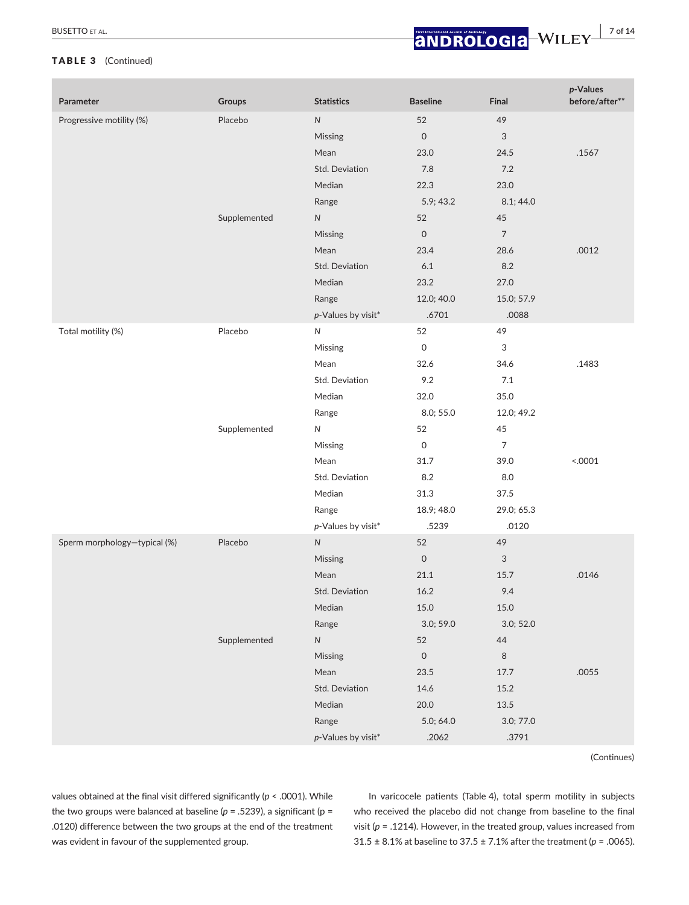## TABLE 3 (Continued)

| Parameter                    | <b>Groups</b> | <b>Statistics</b>  | <b>Baseline</b>     | Final                     | p-Values<br>before/after** |
|------------------------------|---------------|--------------------|---------------------|---------------------------|----------------------------|
| Progressive motility (%)     | Placebo       | ${\sf N}$          | 52                  | 49                        |                            |
|                              |               | Missing            | $\mathsf O$         | $\ensuremath{\mathsf{3}}$ |                            |
|                              |               | Mean               | 23.0                | 24.5                      | .1567                      |
|                              |               | Std. Deviation     | $7.8$               | $7.2\,$                   |                            |
|                              |               | Median             | 22.3                | 23.0                      |                            |
|                              |               | Range              | 5.9; 43.2           | 8.1;44.0                  |                            |
|                              | Supplemented  | ${\sf N}$          | 52                  | 45                        |                            |
|                              |               | Missing            | $\mathsf{O}\xspace$ | $\overline{7}$            |                            |
|                              |               | Mean               | 23.4                | 28.6                      | .0012                      |
|                              |               | Std. Deviation     | $6.1\,$             | 8.2                       |                            |
|                              |               | Median             | 23.2                | 27.0                      |                            |
|                              |               | Range              | 12.0; 40.0          | 15.0; 57.9                |                            |
|                              |               | p-Values by visit* | .6701               | .0088                     |                            |
| Total motility (%)           | Placebo       | $\mathsf{N}$       | 52                  | 49                        |                            |
|                              |               | Missing            | $\mathsf{O}$        | 3                         |                            |
|                              |               | Mean               | 32.6                | 34.6                      | .1483                      |
|                              |               | Std. Deviation     | 9.2                 | 7.1                       |                            |
|                              |               | Median             | 32.0                | 35.0                      |                            |
|                              |               | Range              | 8.0; 55.0           | 12.0; 49.2                |                            |
|                              | Supplemented  | $\mathsf{N}$       | 52                  | 45                        |                            |
|                              |               | Missing            | $\mathsf O$         | $\overline{7}$            |                            |
|                              |               | Mean               | 31.7                | 39.0                      | 0001                       |
|                              |               | Std. Deviation     | 8.2                 | 8.0                       |                            |
|                              |               | Median             | 31.3                | 37.5                      |                            |
|                              |               | Range              | 18.9; 48.0          | 29.0; 65.3                |                            |
|                              |               | p-Values by visit* | .5239               | .0120                     |                            |
| Sperm morphology-typical (%) | Placebo       | ${\sf N}$          | 52                  | 49                        |                            |
|                              |               | Missing            | $\mathsf{O}\xspace$ | 3                         |                            |
|                              |               | Mean               | 21.1                | 15.7                      | .0146                      |
|                              |               | Std. Deviation     | 16.2                | 9.4                       |                            |
|                              |               | Median             | 15.0                | $15.0\,$                  |                            |
|                              |               | Range              | 3.0; 59.0           | 3.0; 52.0                 |                            |
|                              | Supplemented  | ${\sf N}$          | 52                  | 44                        |                            |
|                              |               | Missing            | $\mathsf{O}\xspace$ | $\,8\,$                   |                            |
|                              |               | Mean               | 23.5                | 17.7                      | .0055                      |
|                              |               | Std. Deviation     | 14.6                | 15.2                      |                            |
|                              |               | Median             | 20.0                | $13.5\,$                  |                            |
|                              |               | Range              | 5.0; 64.0           | 3.0; 77.0                 |                            |
|                              |               | p-Values by visit* | .2062               | .3791                     |                            |

(Continues)

values obtained at the final visit differed significantly (*p* < .0001). While the two groups were balanced at baseline ( $p = .5239$ ), a significant ( $p =$ .0120) difference between the two groups at the end of the treatment was evident in favour of the supplemented group.

In varicocele patients (Table 4), total sperm motility in subjects who received the placebo did not change from baseline to the final visit (*p* = .1214). However, in the treated group, values increased from 31.5 ± 8.1% at baseline to 37.5 ± 7.1% after the treatment (*p* = .0065).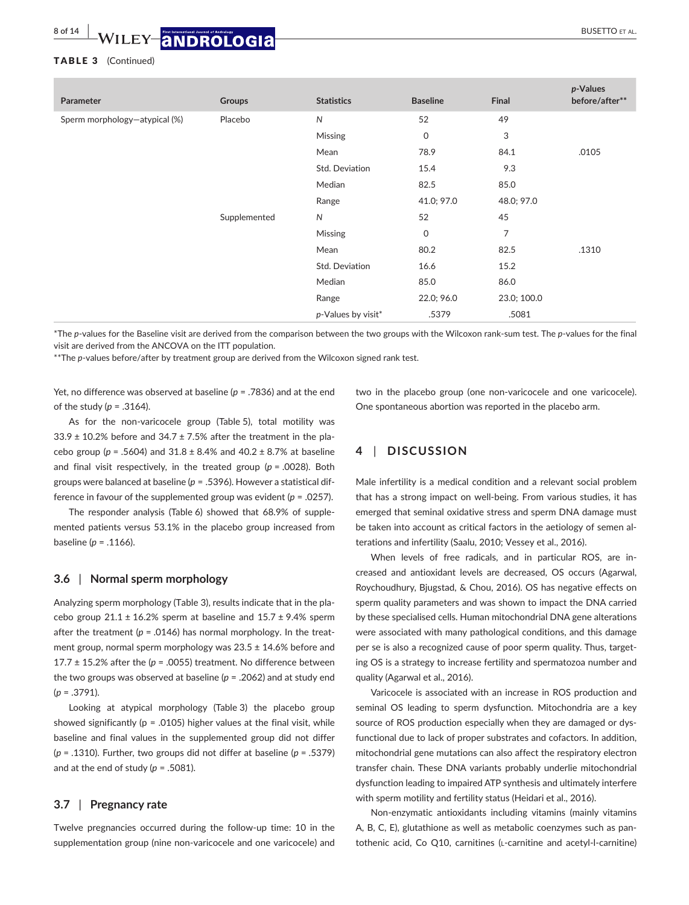### TABLE 3 (Continued)

| Parameter                     | Groups       | <b>Statistics</b>  | <b>Baseline</b> | Final       | $p$ -Values<br>before/after** |
|-------------------------------|--------------|--------------------|-----------------|-------------|-------------------------------|
| Sperm morphology-atypical (%) | Placebo      | ${\sf N}$          | 52              | 49          |                               |
|                               |              | <b>Missing</b>     | $\mathbf 0$     | 3           |                               |
|                               |              | Mean               | 78.9            | 84.1        | .0105                         |
|                               |              | Std. Deviation     | 15.4            | 9.3         |                               |
|                               |              | Median             | 82.5            | 85.0        |                               |
|                               |              | Range              | 41.0; 97.0      | 48.0; 97.0  |                               |
|                               | Supplemented | N                  | 52              | 45          |                               |
|                               |              | Missing            | $\mathbf 0$     | 7           |                               |
|                               |              | Mean               | 80.2            | 82.5        | .1310                         |
|                               |              | Std. Deviation     | 16.6            | 15.2        |                               |
|                               |              | Median             | 85.0            | 86.0        |                               |
|                               |              | Range              | 22.0; 96.0      | 23.0; 100.0 |                               |
|                               |              | p-Values by visit* | .5379           | .5081       |                               |

\*The *p*-values for the Baseline visit are derived from the comparison between the two groups with the Wilcoxon rank-sum test. The *p*-values for the final visit are derived from the ANCOVA on the ITT population.

\*\*The *p*-values before/after by treatment group are derived from the Wilcoxon signed rank test.

Yet, no difference was observed at baseline (*p* = .7836) and at the end of the study (*p* = .3164).

two in the placebo group (one non-varicocele and one varicocele). One spontaneous abortion was reported in the placebo arm.

As for the non-varicocele group (Table 5), total motility was  $33.9 \pm 10.2\%$  before and  $34.7 \pm 7.5\%$  after the treatment in the placebo group ( $p = .5604$ ) and  $31.8 \pm 8.4$ % and  $40.2 \pm 8.7$ % at baseline and final visit respectively, in the treated group (*p* = .0028). Both groups were balanced at baseline (*p* = .5396). However a statistical difference in favour of the supplemented group was evident (*p* = .0257).

The responder analysis (Table 6) showed that 68.9% of supplemented patients versus 53.1% in the placebo group increased from baseline (*p* = .1166).

### **3.6** | **Normal sperm morphology**

Analyzing sperm morphology (Table 3), results indicate that in the placebo group  $21.1 \pm 16.2$ % sperm at baseline and  $15.7 \pm 9.4$ % sperm after the treatment  $(p = .0146)$  has normal morphology. In the treatment group, normal sperm morphology was 23.5 ± 14.6% before and 17.7  $\pm$  15.2% after the ( $p = .0055$ ) treatment. No difference between the two groups was observed at baseline (*p* = .2062) and at study end (*p* = .3791).

Looking at atypical morphology (Table 3) the placebo group showed significantly ( $p = .0105$ ) higher values at the final visit, while baseline and final values in the supplemented group did not differ (*p* = .1310). Further, two groups did not differ at baseline (*p* = .5379) and at the end of study  $(p = .5081)$ .

## **3.7** | **Pregnancy rate**

Twelve pregnancies occurred during the follow-up time: 10 in the supplementation group (nine non-varicocele and one varicocele) and **4** | **DISCUSSION**

Male infertility is a medical condition and a relevant social problem that has a strong impact on well-being. From various studies, it has emerged that seminal oxidative stress and sperm DNA damage must be taken into account as critical factors in the aetiology of semen alterations and infertility (Saalu, 2010; Vessey et al., 2016).

When levels of free radicals, and in particular ROS, are increased and antioxidant levels are decreased, OS occurs (Agarwal, Roychoudhury, Bjugstad, & Chou, 2016). OS has negative effects on sperm quality parameters and was shown to impact the DNA carried by these specialised cells. Human mitochondrial DNA gene alterations were associated with many pathological conditions, and this damage per se is also a recognized cause of poor sperm quality. Thus, targeting OS is a strategy to increase fertility and spermatozoa number and quality (Agarwal et al., 2016).

Varicocele is associated with an increase in ROS production and seminal OS leading to sperm dysfunction. Mitochondria are a key source of ROS production especially when they are damaged or dysfunctional due to lack of proper substrates and cofactors. In addition, mitochondrial gene mutations can also affect the respiratory electron transfer chain. These DNA variants probably underlie mitochondrial dysfunction leading to impaired ATP synthesis and ultimately interfere with sperm motility and fertility status (Heidari et al., 2016).

Non-enzymatic antioxidants including vitamins (mainly vitamins A, B, C, E), glutathione as well as metabolic coenzymes such as pantothenic acid, Co Q10, carnitines (l-carnitine and acetyl-l-carnitine)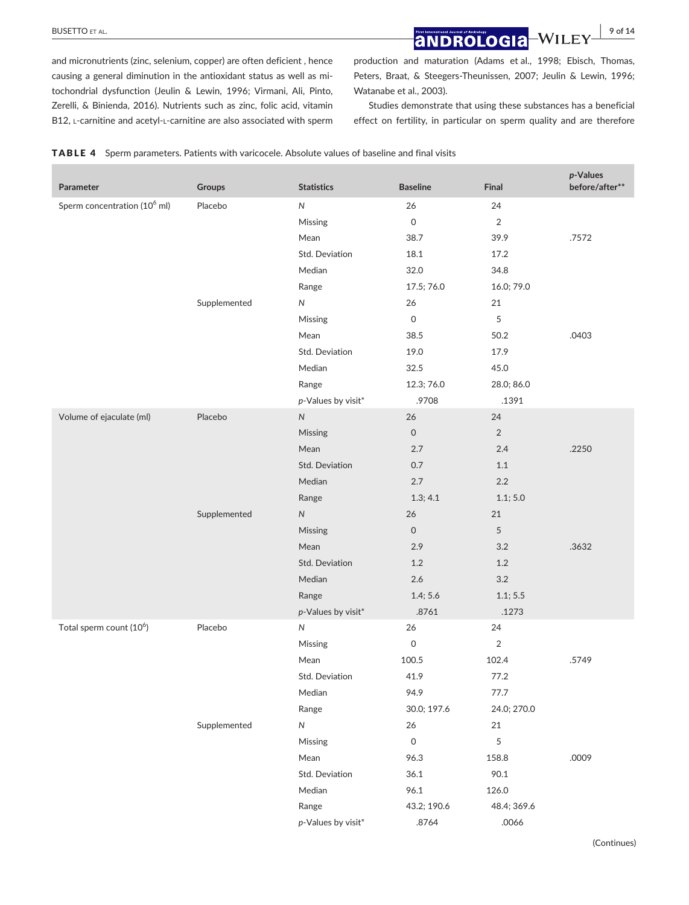**BUSETTO ET AL. 9 of 14**<br>**and Rollogia** Willey <sup>9</sup> of 14</sup>

and micronutrients (zinc, selenium, copper) are often deficient , hence causing a general diminution in the antioxidant status as well as mitochondrial dysfunction (Jeulin & Lewin, 1996; Virmani, Ali, Pinto, Zerelli, & Binienda, 2016). Nutrients such as zinc, folic acid, vitamin B12, L-carnitine and acetyl-L-carnitine are also associated with sperm production and maturation (Adams et al., 1998; Ebisch, Thomas, Peters, Braat, & Steegers-Theunissen, 2007; Jeulin & Lewin, 1996; Watanabe et al., 2003).

Studies demonstrate that using these substances has a beneficial effect on fertility, in particular on sperm quality and are therefore

| Parameter                                | Groups       | <b>Statistics</b>  | <b>Baseline</b>     | Final          | p-Values<br>before/after** |
|------------------------------------------|--------------|--------------------|---------------------|----------------|----------------------------|
| Sperm concentration (10 <sup>6</sup> ml) | Placebo      | N                  | 26                  | 24             |                            |
|                                          |              | Missing            | 0                   | 2              |                            |
|                                          |              | Mean               | 38.7                | 39.9           | .7572                      |
|                                          |              | Std. Deviation     | 18.1                | 17.2           |                            |
|                                          |              | Median             | 32.0                | 34.8           |                            |
|                                          |              | Range              | 17.5; 76.0          | 16.0; 79.0     |                            |
|                                          | Supplemented | $\mathsf{N}$       | 26                  | 21             |                            |
|                                          |              | Missing            | $\mathsf{O}\xspace$ | 5              |                            |
|                                          |              | Mean               | 38.5                | 50.2           | .0403                      |
|                                          |              | Std. Deviation     | 19.0                | 17.9           |                            |
|                                          |              | Median             | 32.5                | 45.0           |                            |
|                                          |              | Range              | 12.3; 76.0          | 28.0; 86.0     |                            |
|                                          |              | p-Values by visit* | .9708               | .1391          |                            |
| Volume of ejaculate (ml)                 | Placebo      | ${\sf N}$          | 26                  | 24             |                            |
|                                          |              | Missing            | $\mathsf{O}\xspace$ | $\overline{2}$ |                            |
|                                          |              | Mean               | 2.7                 | 2.4            | .2250                      |
|                                          |              | Std. Deviation     | 0.7                 | 1.1            |                            |
|                                          |              | Median             | 2.7                 | $2.2\,$        |                            |
|                                          |              | Range              | 1.3; 4.1            | 1.1; 5.0       |                            |
|                                          | Supplemented | ${\sf N}$          | 26                  | 21             |                            |
|                                          |              | Missing            | $\mathsf{O}\xspace$ | 5              |                            |
|                                          |              | Mean               | 2.9                 | 3.2            | .3632                      |
|                                          |              | Std. Deviation     | 1.2                 | 1.2            |                            |
|                                          |              | Median             | 2.6                 | 3.2            |                            |
|                                          |              | Range              | 1.4; 5.6            | 1.1; 5.5       |                            |
|                                          |              | p-Values by visit* | .8761               | .1273          |                            |
| Total sperm count (10 <sup>6</sup> )     | Placebo      | ${\sf N}$          | 26                  | 24             |                            |
|                                          |              | Missing            | 0                   | $\overline{2}$ |                            |
|                                          |              | Mean               | 100.5               | 102.4          | .5749                      |
|                                          |              | Std. Deviation     | 41.9                | 77.2           |                            |
|                                          |              | Median             | 94.9                | 77.7           |                            |
|                                          |              | Range              | 30.0; 197.6         | 24.0; 270.0    |                            |
|                                          | Supplemented | ${\sf N}$          | 26                  | 21             |                            |
|                                          |              | Missing            | $\mathsf{O}\xspace$ | 5              |                            |
|                                          |              | Mean               | 96.3                | 158.8          | .0009                      |
|                                          |              | Std. Deviation     | 36.1                | 90.1           |                            |
|                                          |              | Median             | 96.1                | 126.0          |                            |
|                                          |              | Range              | 43.2; 190.6         | 48.4; 369.6    |                            |
|                                          |              | p-Values by visit* | .8764               | .0066          |                            |

TABLE 4 Sperm parameters. Patients with varicocele. Absolute values of baseline and final visits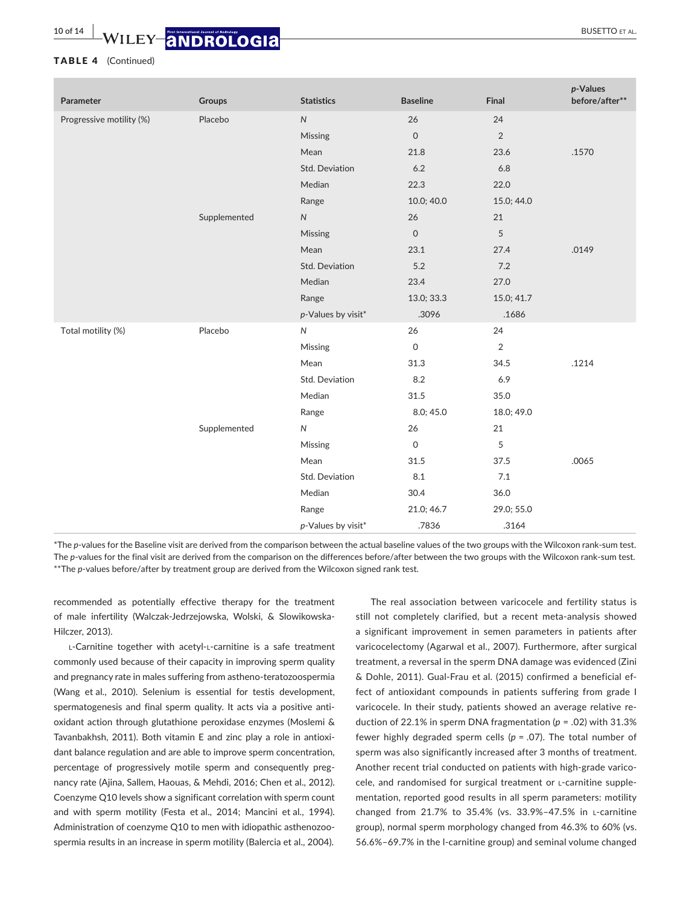## **10 of 14 WILEY ANDROLOGIA**

### TABLE 4 (Continued)

| Parameter                | Groups       | <b>Statistics</b>     | <b>Baseline</b>     | Final          | p-Values<br>before/after** |
|--------------------------|--------------|-----------------------|---------------------|----------------|----------------------------|
| Progressive motility (%) | Placebo      | ${\sf N}$             | 26                  | 24             |                            |
|                          |              | Missing               | $\mathsf{O}\xspace$ | $\overline{2}$ |                            |
|                          |              | Mean                  | 21.8                | 23.6           | .1570                      |
|                          |              | Std. Deviation        | 6.2                 | 6.8            |                            |
|                          |              | Median                | 22.3                | 22.0           |                            |
|                          |              | Range                 | 10.0; 40.0          | 15.0; 44.0     |                            |
|                          | Supplemented | ${\sf N}$             | 26                  | 21             |                            |
|                          |              | Missing               | $\mathsf{O}\xspace$ | 5              |                            |
|                          |              | Mean                  | 23.1                | 27.4           | .0149                      |
|                          |              | <b>Std. Deviation</b> | 5.2                 | 7.2            |                            |
|                          |              | Median                | 23.4                | 27.0           |                            |
|                          |              | Range                 | 13.0; 33.3          | 15.0; 41.7     |                            |
|                          |              | p-Values by visit*    | .3096               | .1686          |                            |
| Total motility (%)       | Placebo      | $\mathsf{N}$          | 26                  | 24             |                            |
|                          |              | Missing               | $\mathsf{O}\xspace$ | $\sqrt{2}$     |                            |
|                          |              | Mean                  | 31.3                | 34.5           | .1214                      |
|                          |              | Std. Deviation        | 8.2                 | 6.9            |                            |
|                          |              | Median                | 31.5                | 35.0           |                            |
|                          |              | Range                 | 8.0; 45.0           | 18.0; 49.0     |                            |
|                          | Supplemented | ${\sf N}$             | 26                  | 21             |                            |
|                          |              | Missing               | $\mathsf{O}\xspace$ | 5              |                            |
|                          |              | Mean                  | 31.5                | 37.5           | .0065                      |
|                          |              | Std. Deviation        | 8.1                 | 7.1            |                            |
|                          |              | Median                | 30.4                | 36.0           |                            |
|                          |              | Range                 | 21.0; 46.7          | 29.0; 55.0     |                            |
|                          |              | p-Values by visit*    | .7836               | .3164          |                            |

\*The *p*-values for the Baseline visit are derived from the comparison between the actual baseline values of the two groups with the Wilcoxon rank-sum test. The *p*-values for the final visit are derived from the comparison on the differences before/after between the two groups with the Wilcoxon rank-sum test. \*\*The *p*-values before/after by treatment group are derived from the Wilcoxon signed rank test.

recommended as potentially effective therapy for the treatment of male infertility (Walczak-Jedrzejowska, Wolski, & Slowikowska-Hilczer, 2013).

L-Carnitine together with acetyl-L-carnitine is a safe treatment commonly used because of their capacity in improving sperm quality and pregnancy rate in males suffering from astheno-teratozoospermia (Wang et al., 2010). Selenium is essential for testis development, spermatogenesis and final sperm quality. It acts via a positive antioxidant action through glutathione peroxidase enzymes (Moslemi & Tavanbakhsh, 2011). Both vitamin E and zinc play a role in antioxidant balance regulation and are able to improve sperm concentration, percentage of progressively motile sperm and consequently pregnancy rate (Ajina, Sallem, Haouas, & Mehdi, 2016; Chen et al., 2012). Coenzyme Q10 levels show a significant correlation with sperm count and with sperm motility (Festa et al., 2014; Mancini et al., 1994). Administration of coenzyme Q10 to men with idiopathic asthenozoospermia results in an increase in sperm motility (Balercia et al., 2004).

The real association between varicocele and fertility status is still not completely clarified, but a recent meta-analysis showed a significant improvement in semen parameters in patients after varicocelectomy (Agarwal et al., 2007). Furthermore, after surgical treatment, a reversal in the sperm DNA damage was evidenced (Zini & Dohle, 2011). Gual-Frau et al. (2015) confirmed a beneficial effect of antioxidant compounds in patients suffering from grade I varicocele. In their study, patients showed an average relative reduction of 22.1% in sperm DNA fragmentation (*p* = .02) with 31.3% fewer highly degraded sperm cells (*p* = .07). The total number of sperm was also significantly increased after 3 months of treatment. Another recent trial conducted on patients with high-grade varicocele, and randomised for surgical treatment or l-carnitine supplementation, reported good results in all sperm parameters: motility changed from 21.7% to 35.4% (vs. 33.9%–47.5% in l-carnitine group), normal sperm morphology changed from 46.3% to 60% (vs. 56.6%–69.7% in the l-carnitine group) and seminal volume changed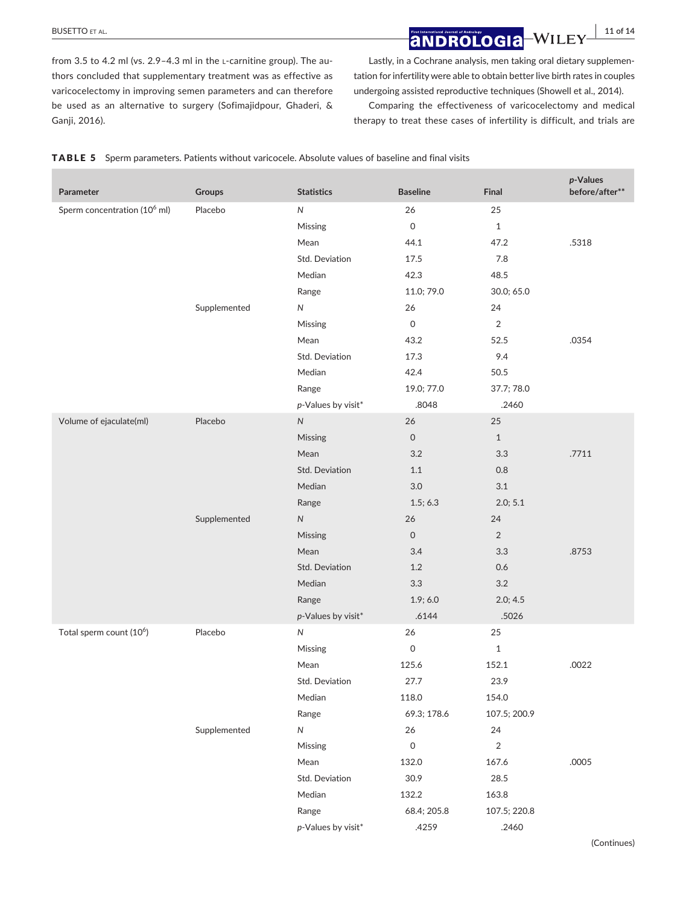# **BUSETTO ET AL. 11 of 14**<br>**and Rologia** Willey 11 of 14

from 3.5 to 4.2 ml (vs. 2.9-4.3 ml in the L-carnitine group). The authors concluded that supplementary treatment was as effective as varicocelectomy in improving semen parameters and can therefore be used as an alternative to surgery (Sofimajidpour, Ghaderi, & Ganji, 2016).

Lastly, in a Cochrane analysis, men taking oral dietary supplementation for infertility were able to obtain better live birth rates in couples undergoing assisted reproductive techniques (Showell et al., 2014).

Comparing the effectiveness of varicocelectomy and medical therapy to treat these cases of infertility is difficult, and trials are

|  |  |  | TABLE 5 Sperm parameters. Patients without varicocele. Absolute values of baseline and final visits |  |  |
|--|--|--|-----------------------------------------------------------------------------------------------------|--|--|
|--|--|--|-----------------------------------------------------------------------------------------------------|--|--|

| Parameter                                | Groups       | <b>Statistics</b>     | <b>Baseline</b>     | Final          | p-Values<br>before/after** |
|------------------------------------------|--------------|-----------------------|---------------------|----------------|----------------------------|
| Sperm concentration (10 <sup>6</sup> ml) | Placebo      | ${\sf N}$             | 26                  | 25             |                            |
|                                          |              | Missing               | $\mathsf{O}\xspace$ | $\mathbf{1}$   |                            |
|                                          |              | Mean                  | 44.1                | 47.2           | .5318                      |
|                                          |              | Std. Deviation        | 17.5                | 7.8            |                            |
|                                          |              | Median                | 42.3                | 48.5           |                            |
|                                          |              | Range                 | 11.0; 79.0          | 30.0; 65.0     |                            |
|                                          | Supplemented | ${\sf N}$             | 26                  | 24             |                            |
|                                          |              | Missing               | $\mathsf{O}\xspace$ | $\sqrt{2}$     |                            |
|                                          |              | Mean                  | 43.2                | 52.5           | .0354                      |
|                                          |              | Std. Deviation        | 17.3                | 9.4            |                            |
|                                          |              | Median                | 42.4                | 50.5           |                            |
|                                          |              | Range                 | 19.0; 77.0          | 37.7; 78.0     |                            |
|                                          |              | p-Values by visit*    | .8048               | .2460          |                            |
| Volume of ejaculate(ml)                  | Placebo      | ${\sf N}$             | 26                  | 25             |                            |
|                                          |              | Missing               | $\mathsf{O}\xspace$ | $\mathbf{1}$   |                            |
|                                          |              | Mean                  | 3.2                 | 3.3            | .7711                      |
|                                          |              | <b>Std. Deviation</b> | 1.1                 | 0.8            |                            |
|                                          |              | Median                | $3.0\,$             | 3.1            |                            |
|                                          |              | Range                 | 1.5; 6.3            | 2.0; 5.1       |                            |
|                                          | Supplemented | ${\sf N}$             | 26                  | 24             |                            |
|                                          |              | Missing               | $\mathsf{O}\xspace$ | $\overline{2}$ |                            |
|                                          |              | Mean                  | 3.4                 | 3.3            | .8753                      |
|                                          |              | Std. Deviation        | 1.2                 | 0.6            |                            |
|                                          |              | Median                | 3.3                 | 3.2            |                            |
|                                          |              | Range                 | 1.9; 6.0            | 2.0; 4.5       |                            |
|                                          |              | p-Values by visit*    | .6144               | .5026          |                            |
| Total sperm count (10 <sup>6</sup> )     | Placebo      | ${\sf N}$             | 26                  | 25             |                            |
|                                          |              | Missing               | $\mathsf{O}\xspace$ | $\mathbf 1$    |                            |
|                                          |              | Mean                  | 125.6               | 152.1          | .0022                      |
|                                          |              | Std. Deviation        | 27.7                | 23.9           |                            |
|                                          |              | Median                | 118.0               | 154.0          |                            |
|                                          |              | Range                 | 69.3; 178.6         | 107.5; 200.9   |                            |
|                                          | Supplemented | ${\sf N}$             | 26                  | 24             |                            |
|                                          |              | Missing               | $\mathsf{O}\xspace$ | $\sqrt{2}$     |                            |
|                                          |              | Mean                  | 132.0               | 167.6          | .0005                      |
|                                          |              | Std. Deviation        | 30.9                | 28.5           |                            |
|                                          |              | Median                | 132.2               | 163.8          |                            |
|                                          |              | Range                 | 68.4; 205.8         | 107.5; 220.8   |                            |
|                                          |              | p-Values by visit*    | .4259               | .2460          |                            |
|                                          |              |                       |                     |                | (Continues)                |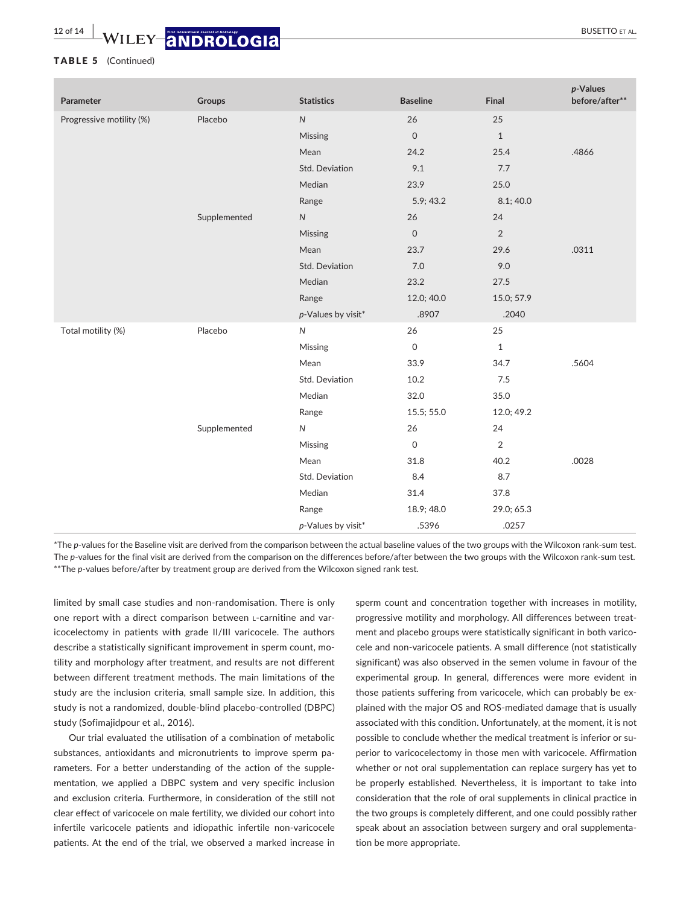## **12 of 14 WILEY-ANDROLOGIA**

### TABLE 5 (Continued)

| Parameter                | Groups       | <b>Statistics</b>  | <b>Baseline</b>     | Final          | p-Values<br>before/after** |
|--------------------------|--------------|--------------------|---------------------|----------------|----------------------------|
| Progressive motility (%) | Placebo      | ${\sf N}$          | 26                  | 25             |                            |
|                          |              | Missing            | $\mathsf O$         | $\mathbf{1}$   |                            |
|                          |              | Mean               | 24.2                | 25.4           | .4866                      |
|                          |              | Std. Deviation     | 9.1                 | 7.7            |                            |
|                          |              | Median             | 23.9                | 25.0           |                            |
|                          |              | Range              | 5.9; 43.2           | 8.1;40.0       |                            |
|                          | Supplemented | ${\sf N}$          | 26                  | 24             |                            |
|                          |              | Missing            | $\mathsf O$         | $\overline{2}$ |                            |
|                          |              | Mean               | 23.7                | 29.6           | .0311                      |
|                          |              | Std. Deviation     | 7.0                 | 9.0            |                            |
|                          |              | Median             | 23.2                | 27.5           |                            |
|                          |              | Range              | 12.0; 40.0          | 15.0; 57.9     |                            |
|                          |              | p-Values by visit* | .8907               | .2040          |                            |
| Total motility (%)       | Placebo      | ${\sf N}$          | 26                  | 25             |                            |
|                          |              | Missing            | $\mathsf{O}\xspace$ | $\mathbf{1}$   |                            |
|                          |              | Mean               | 33.9                | 34.7           | .5604                      |
|                          |              | Std. Deviation     | 10.2                | 7.5            |                            |
|                          |              | Median             | 32.0                | 35.0           |                            |
|                          |              | Range              | 15.5; 55.0          | 12.0; 49.2     |                            |
|                          | Supplemented | ${\sf N}$          | 26                  | 24             |                            |
|                          |              | Missing            | $\mathsf O$         | $\overline{2}$ |                            |
|                          |              | Mean               | 31.8                | 40.2           | .0028                      |
|                          |              | Std. Deviation     | 8.4                 | 8.7            |                            |
|                          |              | Median             | 31.4                | 37.8           |                            |
|                          |              | Range              | 18.9; 48.0          | 29.0; 65.3     |                            |
|                          |              | p-Values by visit* | .5396               | .0257          |                            |

\*The *p*-values for the Baseline visit are derived from the comparison between the actual baseline values of the two groups with the Wilcoxon rank-sum test. The *p*-values for the final visit are derived from the comparison on the differences before/after between the two groups with the Wilcoxon rank-sum test. \*\*The *p*-values before/after by treatment group are derived from the Wilcoxon signed rank test.

limited by small case studies and non-randomisation. There is only one report with a direct comparison between l-carnitine and varicocelectomy in patients with grade II/III varicocele. The authors describe a statistically significant improvement in sperm count, motility and morphology after treatment, and results are not different between different treatment methods. The main limitations of the study are the inclusion criteria, small sample size. In addition, this study is not a randomized, double-blind placebo-controlled (DBPC) study (Sofimajidpour et al., 2016).

Our trial evaluated the utilisation of a combination of metabolic substances, antioxidants and micronutrients to improve sperm parameters. For a better understanding of the action of the supplementation, we applied a DBPC system and very specific inclusion and exclusion criteria. Furthermore, in consideration of the still not clear effect of varicocele on male fertility, we divided our cohort into infertile varicocele patients and idiopathic infertile non-varicocele patients. At the end of the trial, we observed a marked increase in

sperm count and concentration together with increases in motility, progressive motility and morphology. All differences between treatment and placebo groups were statistically significant in both varicocele and non-varicocele patients. A small difference (not statistically significant) was also observed in the semen volume in favour of the experimental group. In general, differences were more evident in those patients suffering from varicocele, which can probably be explained with the major OS and ROS-mediated damage that is usually associated with this condition. Unfortunately, at the moment, it is not possible to conclude whether the medical treatment is inferior or superior to varicocelectomy in those men with varicocele. Affirmation whether or not oral supplementation can replace surgery has yet to be properly established. Nevertheless, it is important to take into consideration that the role of oral supplements in clinical practice in the two groups is completely different, and one could possibly rather speak about an association between surgery and oral supplementation be more appropriate.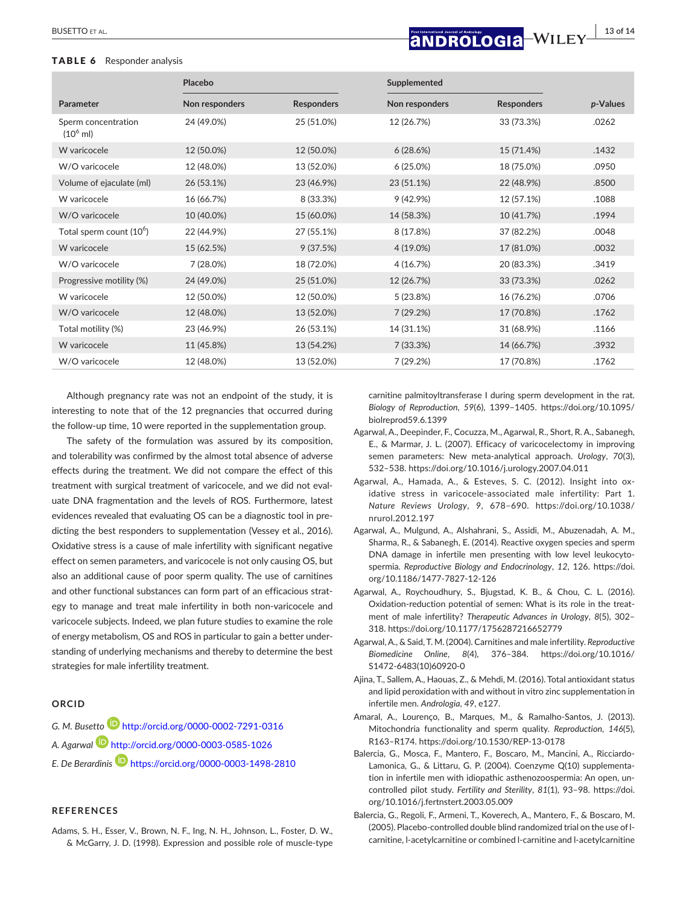### TABLE 6 Responder analysis

# **|** BUSETTO et al. **13 of 14**

|                                            | Placebo        |                   | Supplemented   |                   |          |
|--------------------------------------------|----------------|-------------------|----------------|-------------------|----------|
| Parameter                                  | Non responders | <b>Responders</b> | Non responders | <b>Responders</b> | p-Values |
| Sperm concentration<br>$(10^6 \text{ ml})$ | 24 (49.0%)     | 25 (51.0%)        | 12 (26.7%)     | 33 (73.3%)        | .0262    |
| W varicocele                               | 12 (50.0%)     | 12 (50.0%)        | 6(28.6%)       | 15 (71.4%)        | .1432    |
| W/O varicocele                             | 12 (48.0%)     | 13 (52.0%)        | 6(25.0%)       | 18 (75.0%)        | .0950    |
| Volume of ejaculate (ml)                   | 26 (53.1%)     | 23 (46.9%)        | 23 (51.1%)     | 22 (48.9%)        | .8500    |
| W varicocele                               | 16 (66.7%)     | 8 (33.3%)         | 9(42.9%)       | 12 (57.1%)        | .1088    |
| W/O varicocele                             | 10 (40.0%)     | 15 (60.0%)        | 14 (58.3%)     | 10 (41.7%)        | .1994    |
| Total sperm count (10 <sup>6</sup> )       | 22 (44.9%)     | 27 (55.1%)        | 8 (17.8%)      | 37 (82.2%)        | .0048    |
| W varicocele                               | 15 (62.5%)     | 9(37.5%)          | $4(19.0\%)$    | 17 (81.0%)        | .0032    |
| W/O varicocele                             | 7 (28.0%)      | 18 (72.0%)        | 4(16.7%)       | 20 (83.3%)        | .3419    |
| Progressive motility (%)                   | 24 (49.0%)     | 25 (51.0%)        | 12 (26.7%)     | 33 (73.3%)        | .0262    |
| W varicocele                               | 12 (50.0%)     | 12 (50.0%)        | 5(23.8%)       | 16 (76.2%)        | .0706    |
| W/O varicocele                             | 12 (48.0%)     | 13 (52.0%)        | 7(29.2%)       | 17 (70.8%)        | .1762    |
| Total motility (%)                         | 23 (46.9%)     | 26 (53.1%)        | 14 (31.1%)     | 31 (68.9%)        | .1166    |
| W varicocele                               | 11 (45.8%)     | 13 (54.2%)        | 7(33.3%)       | 14 (66.7%)        | .3932    |
| W/O varicocele                             | 12 (48.0%)     | 13 (52.0%)        | 7(29.2%)       | 17 (70.8%)        | .1762    |

Although pregnancy rate was not an endpoint of the study, it is interesting to note that of the 12 pregnancies that occurred during the follow-up time, 10 were reported in the supplementation group.

The safety of the formulation was assured by its composition, and tolerability was confirmed by the almost total absence of adverse effects during the treatment. We did not compare the effect of this treatment with surgical treatment of varicocele, and we did not evaluate DNA fragmentation and the levels of ROS. Furthermore, latest evidences revealed that evaluating OS can be a diagnostic tool in predicting the best responders to supplementation (Vessey et al., 2016). Oxidative stress is a cause of male infertility with significant negative effect on semen parameters, and varicocele is not only causing OS, but also an additional cause of poor sperm quality. The use of carnitines and other functional substances can form part of an efficacious strategy to manage and treat male infertility in both non-varicocele and varicocele subjects. Indeed, we plan future studies to examine the role of energy metabolism, OS and ROS in particular to gain a better understanding of underlying mechanisms and thereby to determine the best strategies for male infertility treatment.

## **ORCID**

*G. M. Busett[o](http://orcid.org/0000-0002-7291-0316)* <http://orcid.org/0000-0002-7291-0316> *A. Agarwal* <http://orcid.org/0000-0003-0585-1026> *E. De Berardinis* <https://orcid.org/0000-0003-1498-2810>

### **REFERENCES**

Adams, S. H., Esser, V., Brown, N. F., Ing, N. H., Johnson, L., Foster, D. W., & McGarry, J. D. (1998). Expression and possible role of muscle-type

carnitine palmitoyltransferase I during sperm development in the rat. *Biology of Reproduction*, *59*(6), 1399–1405. [https://doi.org/10.1095/](https://doi.org/10.1095/biolreprod59.6.1399) [biolreprod59.6.1399](https://doi.org/10.1095/biolreprod59.6.1399)

- Agarwal, A., Deepinder, F., Cocuzza, M., Agarwal, R., Short, R. A., Sabanegh, E., & Marmar, J. L. (2007). Efficacy of varicocelectomy in improving semen parameters: New meta-analytical approach. *Urology*, *70*(3), 532–538.<https://doi.org/10.1016/j.urology.2007.04.011>
- Agarwal, A., Hamada, A., & Esteves, S. C. (2012). Insight into oxidative stress in varicocele-associated male infertility: Part 1. *Nature Reviews Urology*, *9*, 678–690. [https://doi.org/10.1038/](https://doi.org/10.1038/nrurol.2012.197) [nrurol.2012.197](https://doi.org/10.1038/nrurol.2012.197)
- Agarwal, A., Mulgund, A., Alshahrani, S., Assidi, M., Abuzenadah, A. M., Sharma, R., & Sabanegh, E. (2014). Reactive oxygen species and sperm DNA damage in infertile men presenting with low level leukocytospermia. *Reproductive Biology and Endocrinology*, *12*, 126. [https://doi.](https://doi.org/10.1186/1477-7827-12-126) [org/10.1186/1477-7827-12-126](https://doi.org/10.1186/1477-7827-12-126)
- Agarwal, A., Roychoudhury, S., Bjugstad, K. B., & Chou, C. L. (2016). Oxidation-reduction potential of semen: What is its role in the treatment of male infertility? *Therapeutic Advances in Urology*, *8*(5), 302– 318. <https://doi.org/10.1177/1756287216652779>
- Agarwal, A., & Said, T. M. (2004). Carnitines and male infertility. *Reproductive Biomedicine Online*, *8*(4), 376–384. [https://doi.org/10.1016/](https://doi.org/10.1016/S1472-6483(10)60920-0) [S1472-6483\(10\)60920-0](https://doi.org/10.1016/S1472-6483(10)60920-0)
- Ajina, T., Sallem, A., Haouas, Z., & Mehdi, M. (2016). Total antioxidant status and lipid peroxidation with and without in vitro zinc supplementation in infertile men. *Andrologia*, *49*, e127.
- Amaral, A., Lourenço, B., Marques, M., & Ramalho-Santos, J. (2013). Mitochondria functionality and sperm quality. *Reproduction*, *146*(5), R163–R174.<https://doi.org/10.1530/REP-13-0178>
- Balercia, G., Mosca, F., Mantero, F., Boscaro, M., Mancini, A., Ricciardo-Lamonica, G., & Littaru, G. P. (2004). Coenzyme Q(10) supplementation in infertile men with idiopathic asthenozoospermia: An open, uncontrolled pilot study. *Fertility and Sterility*, *81*(1), 93–98. [https://doi.](https://doi.org/10.1016/j.fertnstert.2003.05.009) [org/10.1016/j.fertnstert.2003.05.009](https://doi.org/10.1016/j.fertnstert.2003.05.009)
- Balercia, G., Regoli, F., Armeni, T., Koverech, A., Mantero, F., & Boscaro, M. (2005). Placebo-controlled double blind randomized trial on the use of lcarnitine, l-acetylcarnitine or combined l-carnitine and l-acetylcarnitine